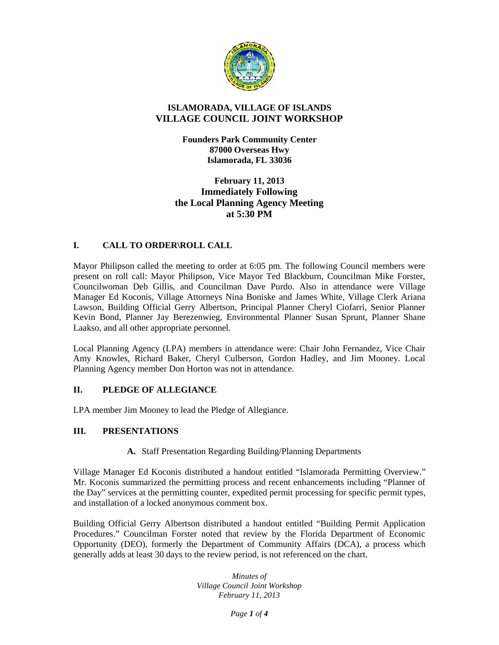

# **ISLAMORADA, VILLAGE OF ISLANDS VILLAGE COUNCIL JOINT WORKSHOP**

**Founders Park Community Center 87000 Overseas Hwy Islamorada, FL 33036**

**February 11, 2013 Immediately Following the Local Planning Agency Meeting at 5:30 PM**

## **I. CALL TO ORDER\ROLL CALL**

Mayor Philipson called the meeting to order at 6:05 pm. The following Council members were present on roll call: Mayor Philipson, Vice Mayor Ted Blackburn, Councilman Mike Forster, Councilwoman Deb Gillis, and Councilman Dave Purdo. Also in attendance were Village Manager Ed Koconis, Village Attorneys Nina Boniske and James White, Village Clerk Ariana Lawson, Building Official Gerry Albertson, Principal Planner Cheryl Ciofarri, Senior Planner Kevin Bond, Planner Jay Berezenwieg, Environmental Planner Susan Sprunt, Planner Shane Laakso, and all other appropriate personnel.

Local Planning Agency (LPA) members in attendance were: Chair John Fernandez, Vice Chair Amy Knowles, Richard Baker, Cheryl Culberson, Gordon Hadley, and Jim Mooney. Local Planning Agency member Don Horton was not in attendance.

# **II. PLEDGE OF ALLEGIANCE**

LPA member Jim Mooney to lead the Pledge of Allegiance.

## **III. PRESENTATIONS**

## **A.** Staff Presentation Regarding Building/Planning Departments

Village Manager Ed Koconis distributed a handout entitled "Islamorada Permitting Overview." Mr. Koconis summarized the permitting process and recent enhancements including "Planner of the Day" services at the permitting counter, expedited permit processing for specific permit types, and installation of a locked anonymous comment box.

Building Official Gerry Albertson distributed a handout entitled "Building Permit Application Procedures." Councilman Forster noted that review by the Florida Department of Economic Opportunity (DEO), formerly the Department of Community Affairs (DCA), a process which generally adds at least 30 days to the review period, is not referenced on the chart.

> *Minutes of Village Council Joint Workshop February 11, 2013*

> > *Page 1 of 4*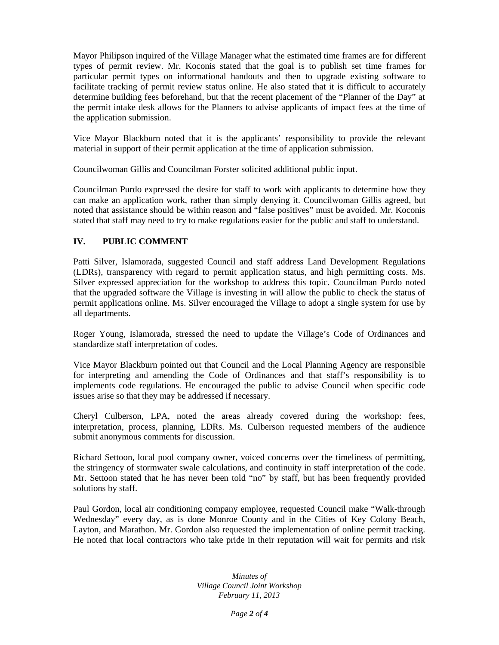Mayor Philipson inquired of the Village Manager what the estimated time frames are for different types of permit review. Mr. Koconis stated that the goal is to publish set time frames for particular permit types on informational handouts and then to upgrade existing software to facilitate tracking of permit review status online. He also stated that it is difficult to accurately determine building fees beforehand, but that the recent placement of the "Planner of the Day" at the permit intake desk allows for the Planners to advise applicants of impact fees at the time of the application submission.

Vice Mayor Blackburn noted that it is the applicants' responsibility to provide the relevant material in support of their permit application at the time of application submission.

Councilwoman Gillis and Councilman Forster solicited additional public input.

Councilman Purdo expressed the desire for staff to work with applicants to determine how they can make an application work, rather than simply denying it. Councilwoman Gillis agreed, but noted that assistance should be within reason and "false positives" must be avoided. Mr. Koconis stated that staff may need to try to make regulations easier for the public and staff to understand.

# **IV. PUBLIC COMMENT**

Patti Silver, Islamorada, suggested Council and staff address Land Development Regulations (LDRs), transparency with regard to permit application status, and high permitting costs. Ms. Silver expressed appreciation for the workshop to address this topic. Councilman Purdo noted that the upgraded software the Village is investing in will allow the public to check the status of permit applications online. Ms. Silver encouraged the Village to adopt a single system for use by all departments.

Roger Young, Islamorada, stressed the need to update the Village's Code of Ordinances and standardize staff interpretation of codes.

Vice Mayor Blackburn pointed out that Council and the Local Planning Agency are responsible for interpreting and amending the Code of Ordinances and that staff's responsibility is to implements code regulations. He encouraged the public to advise Council when specific code issues arise so that they may be addressed if necessary.

Cheryl Culberson, LPA, noted the areas already covered during the workshop: fees, interpretation, process, planning, LDRs. Ms. Culberson requested members of the audience submit anonymous comments for discussion.

Richard Settoon, local pool company owner, voiced concerns over the timeliness of permitting, the stringency of stormwater swale calculations, and continuity in staff interpretation of the code. Mr. Settoon stated that he has never been told "no" by staff, but has been frequently provided solutions by staff.

Paul Gordon, local air conditioning company employee, requested Council make "Walk-through Wednesday" every day, as is done Monroe County and in the Cities of Key Colony Beach, Layton, and Marathon. Mr. Gordon also requested the implementation of online permit tracking. He noted that local contractors who take pride in their reputation will wait for permits and risk

> *Minutes of Village Council Joint Workshop February 11, 2013*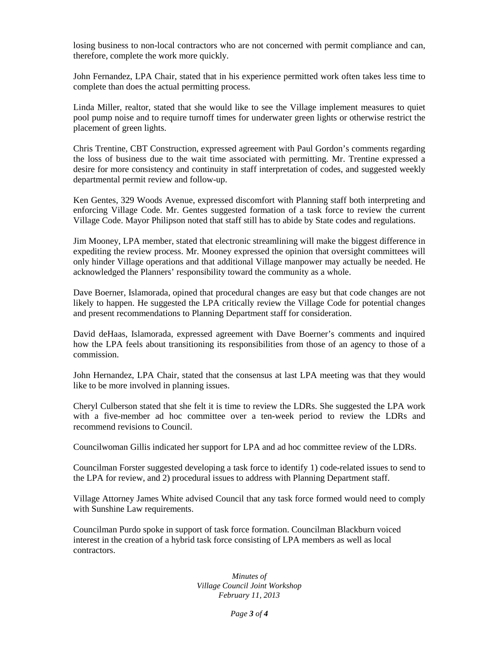losing business to non-local contractors who are not concerned with permit compliance and can, therefore, complete the work more quickly.

John Fernandez, LPA Chair, stated that in his experience permitted work often takes less time to complete than does the actual permitting process.

Linda Miller, realtor, stated that she would like to see the Village implement measures to quiet pool pump noise and to require turnoff times for underwater green lights or otherwise restrict the placement of green lights.

Chris Trentine, CBT Construction, expressed agreement with Paul Gordon's comments regarding the loss of business due to the wait time associated with permitting. Mr. Trentine expressed a desire for more consistency and continuity in staff interpretation of codes, and suggested weekly departmental permit review and follow-up.

Ken Gentes, 329 Woods Avenue, expressed discomfort with Planning staff both interpreting and enforcing Village Code. Mr. Gentes suggested formation of a task force to review the current Village Code. Mayor Philipson noted that staff still has to abide by State codes and regulations.

Jim Mooney, LPA member, stated that electronic streamlining will make the biggest difference in expediting the review process. Mr. Mooney expressed the opinion that oversight committees will only hinder Village operations and that additional Village manpower may actually be needed. He acknowledged the Planners' responsibility toward the community as a whole.

Dave Boerner, Islamorada, opined that procedural changes are easy but that code changes are not likely to happen. He suggested the LPA critically review the Village Code for potential changes and present recommendations to Planning Department staff for consideration.

David deHaas, Islamorada, expressed agreement with Dave Boerner's comments and inquired how the LPA feels about transitioning its responsibilities from those of an agency to those of a commission.

John Hernandez, LPA Chair, stated that the consensus at last LPA meeting was that they would like to be more involved in planning issues.

Cheryl Culberson stated that she felt it is time to review the LDRs. She suggested the LPA work with a five-member ad hoc committee over a ten-week period to review the LDRs and recommend revisions to Council.

Councilwoman Gillis indicated her support for LPA and ad hoc committee review of the LDRs.

Councilman Forster suggested developing a task force to identify 1) code-related issues to send to the LPA for review, and 2) procedural issues to address with Planning Department staff.

Village Attorney James White advised Council that any task force formed would need to comply with Sunshine Law requirements.

Councilman Purdo spoke in support of task force formation. Councilman Blackburn voiced interest in the creation of a hybrid task force consisting of LPA members as well as local contractors.

> *Minutes of Village Council Joint Workshop February 11, 2013*

> > *Page 3 of 4*